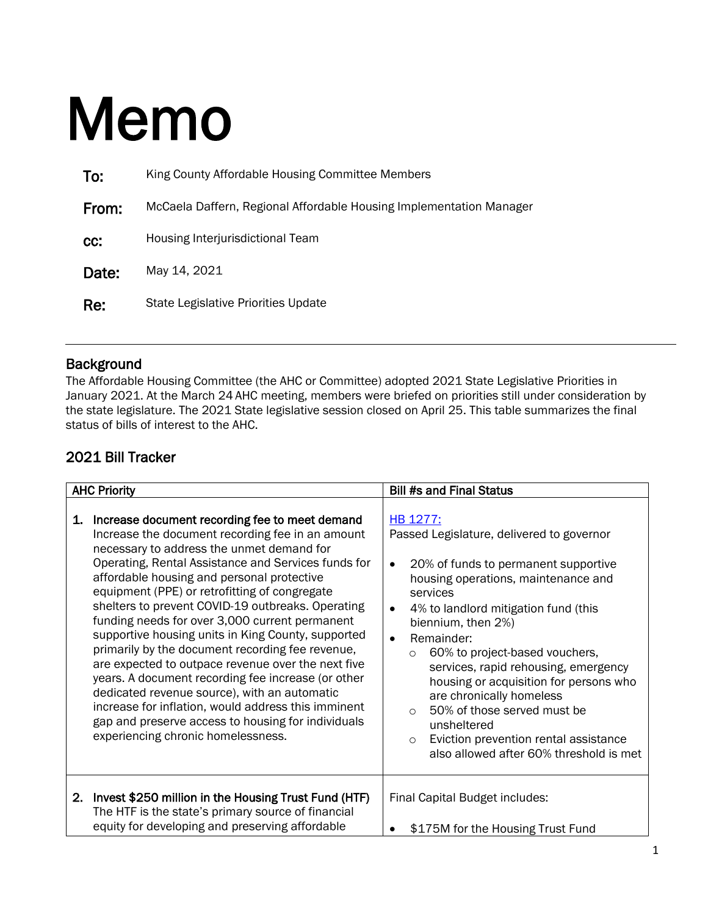# **Memo**

| To:    | King County Affordable Housing Committee Members                    |  |
|--------|---------------------------------------------------------------------|--|
| From:  | McCaela Daffern, Regional Affordable Housing Implementation Manager |  |
| $cc$ : | Housing Interjurisdictional Team                                    |  |
| Date:  | May 14, 2021                                                        |  |
| Re:    | State Legislative Priorities Update                                 |  |

#### **Background**

The Affordable Housing Committee (the AHC or Committee) adopted 2021 State Legislative Priorities in January 2021. At the March 24 AHC meeting, members were briefed on priorities still under consideration by the state legislature. The 2021 State legislative session closed on April 25. This table summarizes the final status of bills of interest to the AHC.

### 2021 Bill Tracker

| 1. | <b>AHC Priority</b><br>Increase document recording fee to meet demand<br>Increase the document recording fee in an amount<br>necessary to address the unmet demand for<br>Operating, Rental Assistance and Services funds for<br>affordable housing and personal protective<br>equipment (PPE) or retrofitting of congregate<br>shelters to prevent COVID-19 outbreaks. Operating<br>funding needs for over 3,000 current permanent<br>supportive housing units in King County, supported<br>primarily by the document recording fee revenue,<br>are expected to outpace revenue over the next five<br>years. A document recording fee increase (or other<br>dedicated revenue source), with an automatic<br>increase for inflation, would address this imminent<br>gap and preserve access to housing for individuals<br>experiencing chronic homelessness. | <b>Bill #s and Final Status</b><br>HB 1277:<br>Passed Legislature, delivered to governor<br>20% of funds to permanent supportive<br>$\bullet$<br>housing operations, maintenance and<br>services<br>4% to landlord mitigation fund (this<br>$\bullet$<br>biennium, then 2%)<br>Remainder:<br>$\bullet$<br>60% to project-based vouchers,<br>$\circ$<br>services, rapid rehousing, emergency<br>housing or acquisition for persons who<br>are chronically homeless<br>50% of those served must be<br>unsheltered<br>Eviction prevention rental assistance<br>$\circ$<br>also allowed after 60% threshold is met |  |  |  |
|----|--------------------------------------------------------------------------------------------------------------------------------------------------------------------------------------------------------------------------------------------------------------------------------------------------------------------------------------------------------------------------------------------------------------------------------------------------------------------------------------------------------------------------------------------------------------------------------------------------------------------------------------------------------------------------------------------------------------------------------------------------------------------------------------------------------------------------------------------------------------|----------------------------------------------------------------------------------------------------------------------------------------------------------------------------------------------------------------------------------------------------------------------------------------------------------------------------------------------------------------------------------------------------------------------------------------------------------------------------------------------------------------------------------------------------------------------------------------------------------------|--|--|--|
| 2. | Invest \$250 million in the Housing Trust Fund (HTF)<br>The HTF is the state's primary source of financial<br>equity for developing and preserving affordable                                                                                                                                                                                                                                                                                                                                                                                                                                                                                                                                                                                                                                                                                                | Final Capital Budget includes:<br>\$175M for the Housing Trust Fund                                                                                                                                                                                                                                                                                                                                                                                                                                                                                                                                            |  |  |  |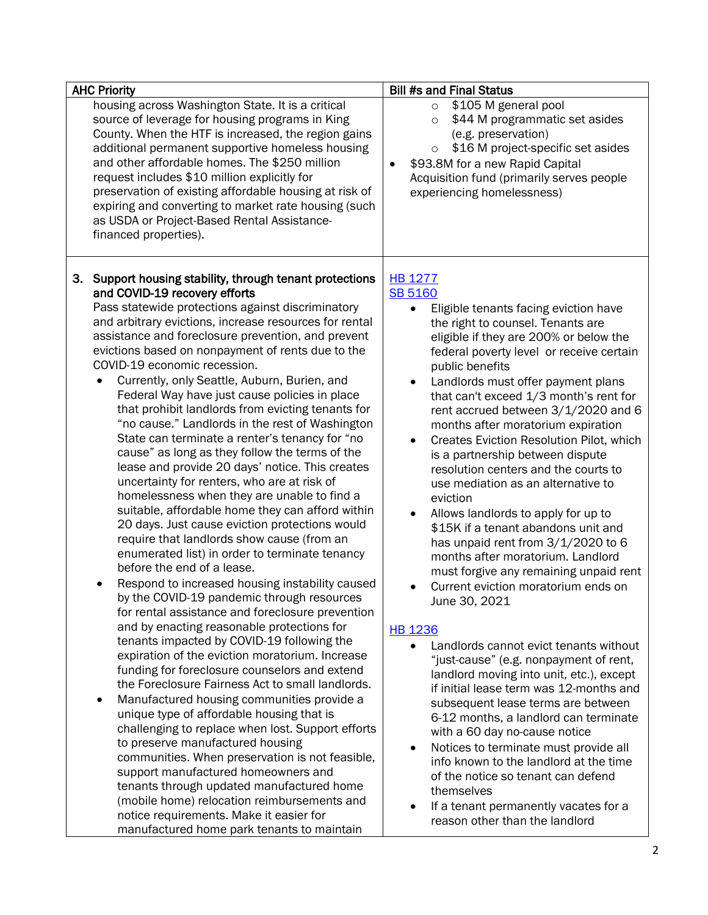| \$105 M general pool<br>housing across Washington State. It is a critical<br>$\circ$<br>source of leverage for housing programs in King<br>\$44 M programmatic set asides<br>$\circ$<br>County. When the HTF is increased, the region gains<br>(e.g. preservation)<br>additional permanent supportive homeless housing<br>\$16 M project-specific set asides<br>$\circ$<br>and other affordable homes. The \$250 million<br>\$93.8M for a new Rapid Capital<br>$\bullet$<br>request includes \$10 million explicitly for<br>Acquisition fund (primarily serves people<br>preservation of existing affordable housing at risk of<br>experiencing homelessness)<br>expiring and converting to market rate housing (such<br>as USDA or Project-Based Rental Assistance-<br>financed properties).<br>Support housing stability, through tenant protections<br><b>HB 1277</b><br>3.<br><b>SB 5160</b><br>and COVID-19 recovery efforts<br>Pass statewide protections against discriminatory<br>Eligible tenants facing eviction have<br>$\bullet$<br>and arbitrary evictions, increase resources for rental<br>the right to counsel. Tenants are<br>assistance and foreclosure prevention, and prevent<br>eligible if they are 200% or below the<br>evictions based on nonpayment of rents due to the<br>federal poverty level or receive certain<br>COVID-19 economic recession.<br>public benefits<br>Currently, only Seattle, Auburn, Burien, and<br>Landlords must offer payment plans<br>$\bullet$<br>Federal Way have just cause policies in place<br>that can't exceed 1/3 month's rent for<br>that prohibit landlords from evicting tenants for<br>rent accrued between 3/1/2020 and 6<br>"no cause." Landlords in the rest of Washington<br>months after moratorium expiration<br>State can terminate a renter's tenancy for "no<br>Creates Eviction Resolution Pilot, which<br>$\bullet$<br>cause" as long as they follow the terms of the<br>is a partnership between dispute<br>lease and provide 20 days' notice. This creates<br>resolution centers and the courts to<br>uncertainty for renters, who are at risk of<br>use mediation as an alternative to<br>homelessness when they are unable to find a<br>eviction<br>suitable, affordable home they can afford within<br>Allows landlords to apply for up to<br>$\bullet$<br>20 days. Just cause eviction protections would<br>\$15K if a tenant abandons unit and<br>require that landlords show cause (from an<br>has unpaid rent from 3/1/2020 to 6<br>enumerated list) in order to terminate tenancy<br>months after moratorium. Landlord<br>before the end of a lease.<br>must forgive any remaining unpaid rent<br>Respond to increased housing instability caused<br>Current eviction moratorium ends on<br>by the COVID-19 pandemic through resources<br>June 30, 2021<br>for rental assistance and foreclosure prevention<br>and by enacting reasonable protections for<br><b>HB 1236</b><br>tenants impacted by COVID-19 following the<br>Landlords cannot evict tenants without<br>$\bullet$<br>expiration of the eviction moratorium. Increase<br>"just-cause" (e.g. nonpayment of rent,<br>funding for foreclosure counselors and extend<br>landlord moving into unit, etc.), except<br>the Foreclosure Fairness Act to small landlords.<br>if initial lease term was 12-months and<br>Manufactured housing communities provide a<br>٠<br>subsequent lease terms are between<br>unique type of affordable housing that is<br>6-12 months, a landlord can terminate<br>challenging to replace when lost. Support efforts<br>with a 60 day no-cause notice<br>to preserve manufactured housing<br>Notices to terminate must provide all<br>$\bullet$<br>communities. When preservation is not feasible,<br>info known to the landlord at the time<br>support manufactured homeowners and<br>of the notice so tenant can defend<br>tenants through updated manufactured home<br>themselves<br>(mobile home) relocation reimbursements and | <b>AHC Priority</b> | <b>Bill #s and Final Status</b>                         |
|------------------------------------------------------------------------------------------------------------------------------------------------------------------------------------------------------------------------------------------------------------------------------------------------------------------------------------------------------------------------------------------------------------------------------------------------------------------------------------------------------------------------------------------------------------------------------------------------------------------------------------------------------------------------------------------------------------------------------------------------------------------------------------------------------------------------------------------------------------------------------------------------------------------------------------------------------------------------------------------------------------------------------------------------------------------------------------------------------------------------------------------------------------------------------------------------------------------------------------------------------------------------------------------------------------------------------------------------------------------------------------------------------------------------------------------------------------------------------------------------------------------------------------------------------------------------------------------------------------------------------------------------------------------------------------------------------------------------------------------------------------------------------------------------------------------------------------------------------------------------------------------------------------------------------------------------------------------------------------------------------------------------------------------------------------------------------------------------------------------------------------------------------------------------------------------------------------------------------------------------------------------------------------------------------------------------------------------------------------------------------------------------------------------------------------------------------------------------------------------------------------------------------------------------------------------------------------------------------------------------------------------------------------------------------------------------------------------------------------------------------------------------------------------------------------------------------------------------------------------------------------------------------------------------------------------------------------------------------------------------------------------------------------------------------------------------------------------------------------------------------------------------------------------------------------------------------------------------------------------------------------------------------------------------------------------------------------------------------------------------------------------------------------------------------------------------------------------------------------------------------------------------------------------------------------------------------------------------------------------------------------------------------------------------------------------------------------------------------------------------------------------------------------------------------------------------------------------------------------------------------------------------------------------------------------------------------------------------------------------------------------------|---------------------|---------------------------------------------------------|
|                                                                                                                                                                                                                                                                                                                                                                                                                                                                                                                                                                                                                                                                                                                                                                                                                                                                                                                                                                                                                                                                                                                                                                                                                                                                                                                                                                                                                                                                                                                                                                                                                                                                                                                                                                                                                                                                                                                                                                                                                                                                                                                                                                                                                                                                                                                                                                                                                                                                                                                                                                                                                                                                                                                                                                                                                                                                                                                                                                                                                                                                                                                                                                                                                                                                                                                                                                                                                                                                                                                                                                                                                                                                                                                                                                                                                                                                                                                                                                                                                  |                     |                                                         |
| notice requirements. Make it easier for<br>reason other than the landlord<br>manufactured home park tenants to maintain                                                                                                                                                                                                                                                                                                                                                                                                                                                                                                                                                                                                                                                                                                                                                                                                                                                                                                                                                                                                                                                                                                                                                                                                                                                                                                                                                                                                                                                                                                                                                                                                                                                                                                                                                                                                                                                                                                                                                                                                                                                                                                                                                                                                                                                                                                                                                                                                                                                                                                                                                                                                                                                                                                                                                                                                                                                                                                                                                                                                                                                                                                                                                                                                                                                                                                                                                                                                                                                                                                                                                                                                                                                                                                                                                                                                                                                                                          |                     | If a tenant permanently vacates for a<br>$\bullet$<br>2 |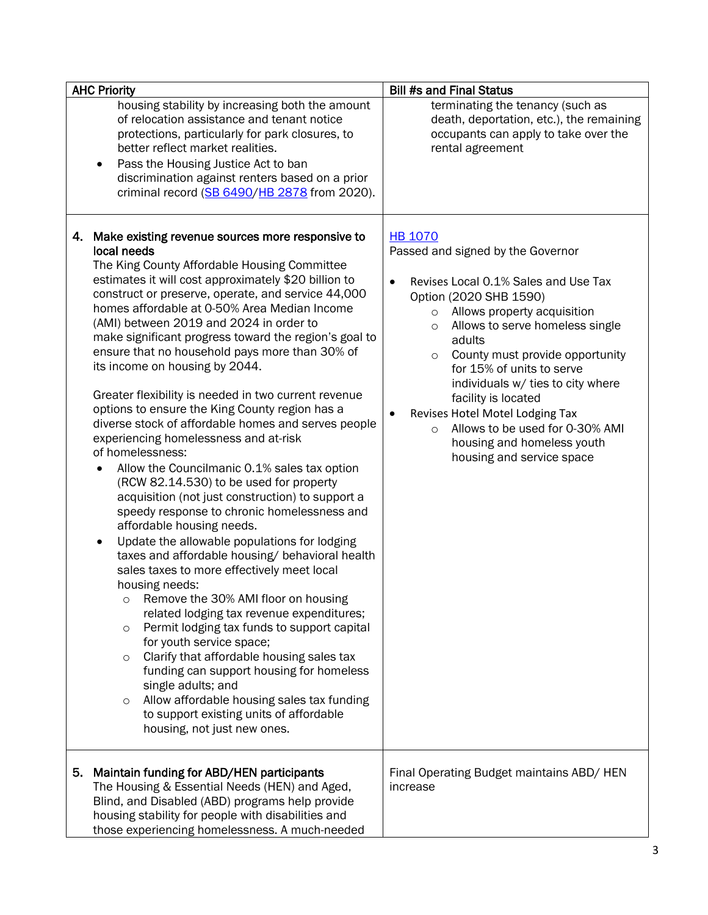| <b>AHC Priority</b>                                                                                                                                                                                                                                                                                                                                                                                                                                                                                                                                                                                                                                                                                                                                                                                                                                                                                                                                                                                                                                                                                                                                                                                                                                                                                                                                                                                                                                                                                                                                             | <b>Bill #s and Final Status</b>                                                                                                                                                                                                                                                                                                                                                                                                                                                                            |
|-----------------------------------------------------------------------------------------------------------------------------------------------------------------------------------------------------------------------------------------------------------------------------------------------------------------------------------------------------------------------------------------------------------------------------------------------------------------------------------------------------------------------------------------------------------------------------------------------------------------------------------------------------------------------------------------------------------------------------------------------------------------------------------------------------------------------------------------------------------------------------------------------------------------------------------------------------------------------------------------------------------------------------------------------------------------------------------------------------------------------------------------------------------------------------------------------------------------------------------------------------------------------------------------------------------------------------------------------------------------------------------------------------------------------------------------------------------------------------------------------------------------------------------------------------------------|------------------------------------------------------------------------------------------------------------------------------------------------------------------------------------------------------------------------------------------------------------------------------------------------------------------------------------------------------------------------------------------------------------------------------------------------------------------------------------------------------------|
| housing stability by increasing both the amount<br>of relocation assistance and tenant notice<br>protections, particularly for park closures, to<br>better reflect market realities.<br>Pass the Housing Justice Act to ban<br>$\bullet$<br>discrimination against renters based on a prior<br>criminal record (SB 6490/HB 2878 from 2020).                                                                                                                                                                                                                                                                                                                                                                                                                                                                                                                                                                                                                                                                                                                                                                                                                                                                                                                                                                                                                                                                                                                                                                                                                     | terminating the tenancy (such as<br>death, deportation, etc.), the remaining<br>occupants can apply to take over the<br>rental agreement                                                                                                                                                                                                                                                                                                                                                                   |
| 4. Make existing revenue sources more responsive to<br>local needs<br>The King County Affordable Housing Committee<br>estimates it will cost approximately \$20 billion to<br>construct or preserve, operate, and service 44,000<br>homes affordable at 0-50% Area Median Income<br>(AMI) between 2019 and 2024 in order to<br>make significant progress toward the region's goal to<br>ensure that no household pays more than 30% of<br>its income on housing by 2044.<br>Greater flexibility is needed in two current revenue<br>options to ensure the King County region has a<br>diverse stock of affordable homes and serves people<br>experiencing homelessness and at-risk<br>of homelessness:<br>Allow the Councilmanic 0.1% sales tax option<br>$\bullet$<br>(RCW 82.14.530) to be used for property<br>acquisition (not just construction) to support a<br>speedy response to chronic homelessness and<br>affordable housing needs.<br>Update the allowable populations for lodging<br>$\bullet$<br>taxes and affordable housing/ behavioral health<br>sales taxes to more effectively meet local<br>housing needs:<br>Remove the 30% AMI floor on housing<br>related lodging tax revenue expenditures;<br>Permit lodging tax funds to support capital<br>$\circ$<br>for youth service space;<br>Clarify that affordable housing sales tax<br>O<br>funding can support housing for homeless<br>single adults; and<br>Allow affordable housing sales tax funding<br>$\circ$<br>to support existing units of affordable<br>housing, not just new ones. | <b>HB 1070</b><br>Passed and signed by the Governor<br>Revises Local 0.1% Sales and Use Tax<br>Option (2020 SHB 1590)<br>Allows property acquisition<br>$\circ$<br>Allows to serve homeless single<br>$\circ$<br>adults<br>County must provide opportunity<br>$\circ$<br>for 15% of units to serve<br>individuals w/ ties to city where<br>facility is located<br>Revises Hotel Motel Lodging Tax<br>Allows to be used for 0-30% AMI<br>$\circ$<br>housing and homeless youth<br>housing and service space |
| 5. Maintain funding for ABD/HEN participants<br>The Housing & Essential Needs (HEN) and Aged,<br>Blind, and Disabled (ABD) programs help provide<br>housing stability for people with disabilities and<br>those experiencing homelessness. A much-needed                                                                                                                                                                                                                                                                                                                                                                                                                                                                                                                                                                                                                                                                                                                                                                                                                                                                                                                                                                                                                                                                                                                                                                                                                                                                                                        | Final Operating Budget maintains ABD/ HEN<br>increase                                                                                                                                                                                                                                                                                                                                                                                                                                                      |